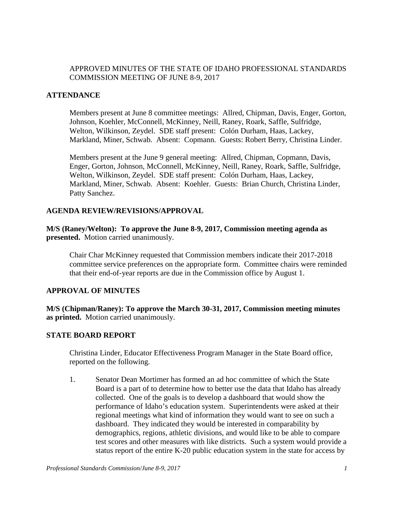## APPROVED MINUTES OF THE STATE OF IDAHO PROFESSIONAL STANDARDS COMMISSION MEETING OF JUNE 8-9, 2017

### **ATTENDANCE**

Members present at June 8 committee meetings: Allred, Chipman, Davis, Enger, Gorton, Johnson, Koehler, McConnell, McKinney, Neill, Raney, Roark, Saffle, Sulfridge, Welton, Wilkinson, Zeydel. SDE staff present: Colón Durham, Haas, Lackey, Markland, Miner, Schwab. Absent: Copmann. Guests: Robert Berry, Christina Linder.

Members present at the June 9 general meeting: Allred, Chipman, Copmann, Davis, Enger, Gorton, Johnson, McConnell, McKinney, Neill, Raney, Roark, Saffle, Sulfridge, Welton, Wilkinson, Zeydel. SDE staff present: Colón Durham, Haas, Lackey, Markland, Miner, Schwab. Absent: Koehler. Guests: Brian Church, Christina Linder, Patty Sanchez.

### **AGENDA REVIEW/REVISIONS/APPROVAL**

**M/S (Raney/Welton): To approve the June 8-9, 2017, Commission meeting agenda as presented.** Motion carried unanimously.

Chair Char McKinney requested that Commission members indicate their 2017-2018 committee service preferences on the appropriate form. Committee chairs were reminded that their end-of-year reports are due in the Commission office by August 1.

#### **APPROVAL OF MINUTES**

**M/S (Chipman/Raney): To approve the March 30-31, 2017, Commission meeting minutes as printed.** Motion carried unanimously.

#### **STATE BOARD REPORT**

Christina Linder, Educator Effectiveness Program Manager in the State Board office, reported on the following.

1. Senator Dean Mortimer has formed an ad hoc committee of which the State Board is a part of to determine how to better use the data that Idaho has already collected. One of the goals is to develop a dashboard that would show the performance of Idaho's education system. Superintendents were asked at their regional meetings what kind of information they would want to see on such a dashboard. They indicated they would be interested in comparability by demographics, regions, athletic divisions, and would like to be able to compare test scores and other measures with like districts. Such a system would provide a status report of the entire K-20 public education system in the state for access by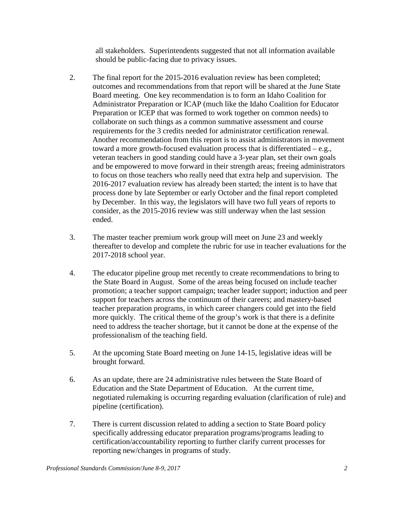all stakeholders. Superintendents suggested that not all information available should be public-facing due to privacy issues.

- 2. The final report for the 2015-2016 evaluation review has been completed; outcomes and recommendations from that report will be shared at the June State Board meeting. One key recommendation is to form an Idaho Coalition for Administrator Preparation or ICAP (much like the Idaho Coalition for Educator Preparation or ICEP that was formed to work together on common needs) to collaborate on such things as a common summative assessment and course requirements for the 3 credits needed for administrator certification renewal. Another recommendation from this report is to assist administrators in movement toward a more growth-focused evaluation process that is differentiated – e.g., veteran teachers in good standing could have a 3-year plan, set their own goals and be empowered to move forward in their strength areas; freeing administrators to focus on those teachers who really need that extra help and supervision. The 2016-2017 evaluation review has already been started; the intent is to have that process done by late September or early October and the final report completed by December. In this way, the legislators will have two full years of reports to consider, as the 2015-2016 review was still underway when the last session ended.
- 3. The master teacher premium work group will meet on June 23 and weekly thereafter to develop and complete the rubric for use in teacher evaluations for the 2017-2018 school year.
- 4. The educator pipeline group met recently to create recommendations to bring to the State Board in August. Some of the areas being focused on include teacher promotion; a teacher support campaign; teacher leader support; induction and peer support for teachers across the continuum of their careers; and mastery-based teacher preparation programs, in which career changers could get into the field more quickly. The critical theme of the group's work is that there is a definite need to address the teacher shortage, but it cannot be done at the expense of the professionalism of the teaching field.
- 5. At the upcoming State Board meeting on June 14-15, legislative ideas will be brought forward.
- 6. As an update, there are 24 administrative rules between the State Board of Education and the State Department of Education. At the current time, negotiated rulemaking is occurring regarding evaluation (clarification of rule) and pipeline (certification).
- 7. There is current discussion related to adding a section to State Board policy specifically addressing educator preparation programs/programs leading to certification/accountability reporting to further clarify current processes for reporting new/changes in programs of study.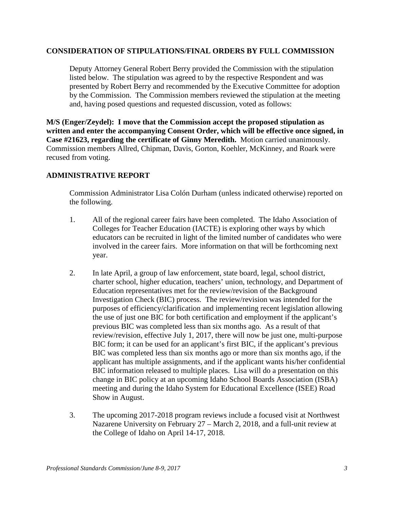### **CONSIDERATION OF STIPULATIONS/FINAL ORDERS BY FULL COMMISSION**

Deputy Attorney General Robert Berry provided the Commission with the stipulation listed below. The stipulation was agreed to by the respective Respondent and was presented by Robert Berry and recommended by the Executive Committee for adoption by the Commission. The Commission members reviewed the stipulation at the meeting and, having posed questions and requested discussion, voted as follows:

**M/S (Enger/Zeydel): I move that the Commission accept the proposed stipulation as written and enter the accompanying Consent Order, which will be effective once signed, in Case #21623, regarding the certificate of Ginny Meredith.** Motion carried unanimously. Commission members Allred, Chipman, Davis, Gorton, Koehler, McKinney, and Roark were recused from voting.

### **ADMINISTRATIVE REPORT**

Commission Administrator Lisa Colón Durham (unless indicated otherwise) reported on the following.

- 1. All of the regional career fairs have been completed. The Idaho Association of Colleges for Teacher Education (IACTE) is exploring other ways by which educators can be recruited in light of the limited number of candidates who were involved in the career fairs. More information on that will be forthcoming next year.
- 2. In late April, a group of law enforcement, state board, legal, school district, charter school, higher education, teachers' union, technology, and Department of Education representatives met for the review/revision of the Background Investigation Check (BIC) process. The review/revision was intended for the purposes of efficiency/clarification and implementing recent legislation allowing the use of just one BIC for both certification and employment if the applicant's previous BIC was completed less than six months ago. As a result of that review/revision, effective July 1, 2017, there will now be just one, multi-purpose BIC form; it can be used for an applicant's first BIC, if the applicant's previous BIC was completed less than six months ago or more than six months ago, if the applicant has multiple assignments, and if the applicant wants his/her confidential BIC information released to multiple places. Lisa will do a presentation on this change in BIC policy at an upcoming Idaho School Boards Association (ISBA) meeting and during the Idaho System for Educational Excellence (ISEE) Road Show in August.
- 3. The upcoming 2017-2018 program reviews include a focused visit at Northwest Nazarene University on February 27 – March 2, 2018, and a full-unit review at the College of Idaho on April 14-17, 2018.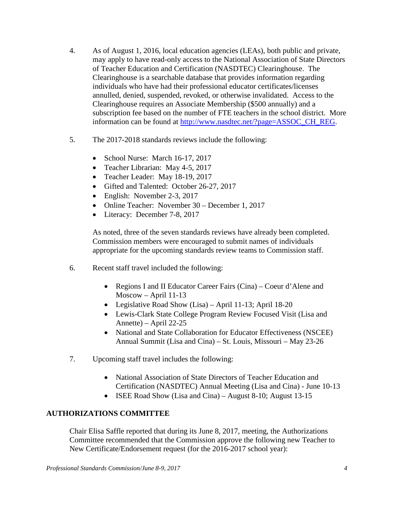- 4. As of August 1, 2016, local education agencies (LEAs), both public and private, may apply to have read-only access to the National Association of State Directors of Teacher Education and Certification (NASDTEC) Clearinghouse. The Clearinghouse is a searchable database that provides information regarding individuals who have had their professional educator certificates/licenses annulled, denied, suspended, revoked, or otherwise invalidated. Access to the Clearinghouse requires an Associate Membership (\$500 annually) and a subscription fee based on the number of FTE teachers in the school district. More information can be found at [http://www.nasdtec.net/?page=ASSOC\\_CH\\_REG.](http://www.nasdtec.net/?page=ASSOC_CH_REG)
- 5. The 2017-2018 standards reviews include the following:
	- School Nurse: March 16-17, 2017
	- Teacher Librarian: May 4-5, 2017
	- Teacher Leader: May 18-19, 2017
	- Gifted and Talented: October 26-27, 2017
	- English: November 2-3, 2017
	- Online Teacher: November 30 December 1, 2017
	- Literacy: December 7-8, 2017

As noted, three of the seven standards reviews have already been completed. Commission members were encouraged to submit names of individuals appropriate for the upcoming standards review teams to Commission staff.

- 6. Recent staff travel included the following:
	- Regions I and II Educator Career Fairs (Cina) Coeur d'Alene and Moscow – April 11-13
	- Legislative Road Show (Lisa) April 11-13; April 18-20
	- Lewis-Clark State College Program Review Focused Visit (Lisa and Annette) – April 22-25
	- National and State Collaboration for Educator Effectiveness (NSCEE) Annual Summit (Lisa and Cina) – St. Louis, Missouri – May 23-26
- 7. Upcoming staff travel includes the following:
	- National Association of State Directors of Teacher Education and Certification (NASDTEC) Annual Meeting (Lisa and Cina) - June 10-13
	- ISEE Road Show (Lisa and Cina) August 8-10; August 13-15

## **AUTHORIZATIONS COMMITTEE**

Chair Elisa Saffle reported that during its June 8, 2017, meeting, the Authorizations Committee recommended that the Commission approve the following new Teacher to New Certificate/Endorsement request (for the 2016-2017 school year):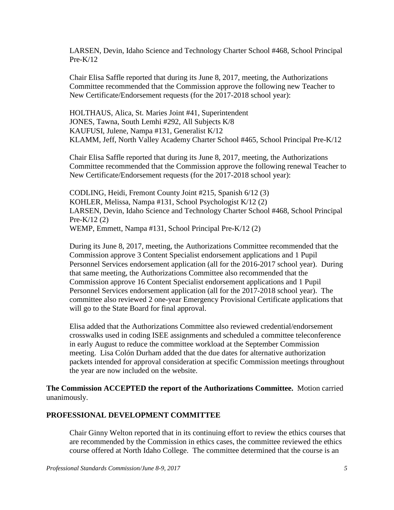LARSEN, Devin, Idaho Science and Technology Charter School #468, School Principal  $Pre-K/12$ 

Chair Elisa Saffle reported that during its June 8, 2017, meeting, the Authorizations Committee recommended that the Commission approve the following new Teacher to New Certificate/Endorsement requests (for the 2017-2018 school year):

HOLTHAUS, Alica, St. Maries Joint #41, Superintendent JONES, Tawna, South Lemhi #292, All Subjects K/8 KAUFUSI, Julene, Nampa #131, Generalist K/12 KLAMM, Jeff, North Valley Academy Charter School #465, School Principal Pre-K/12

Chair Elisa Saffle reported that during its June 8, 2017, meeting, the Authorizations Committee recommended that the Commission approve the following renewal Teacher to New Certificate/Endorsement requests (for the 2017-2018 school year):

CODLING, Heidi, Fremont County Joint #215, Spanish 6/12 (3) KOHLER, Melissa, Nampa #131, School Psychologist K/12 (2) LARSEN, Devin, Idaho Science and Technology Charter School #468, School Principal Pre-K/12 (2) WEMP, Emmett, Nampa #131, School Principal Pre-K/12 (2)

During its June 8, 2017, meeting, the Authorizations Committee recommended that the Commission approve 3 Content Specialist endorsement applications and 1 Pupil Personnel Services endorsement application (all for the 2016-2017 school year). During that same meeting, the Authorizations Committee also recommended that the Commission approve 16 Content Specialist endorsement applications and 1 Pupil Personnel Services endorsement application (all for the 2017-2018 school year). The committee also reviewed 2 one-year Emergency Provisional Certificate applications that will go to the State Board for final approval.

Elisa added that the Authorizations Committee also reviewed credential/endorsement crosswalks used in coding ISEE assignments and scheduled a committee teleconference in early August to reduce the committee workload at the September Commission meeting. Lisa Colón Durham added that the due dates for alternative authorization packets intended for approval consideration at specific Commission meetings throughout the year are now included on the website.

**The Commission ACCEPTED the report of the Authorizations Committee.** Motion carried unanimously.

#### **PROFESSIONAL DEVELOPMENT COMMITTEE**

Chair Ginny Welton reported that in its continuing effort to review the ethics courses that are recommended by the Commission in ethics cases, the committee reviewed the ethics course offered at North Idaho College. The committee determined that the course is an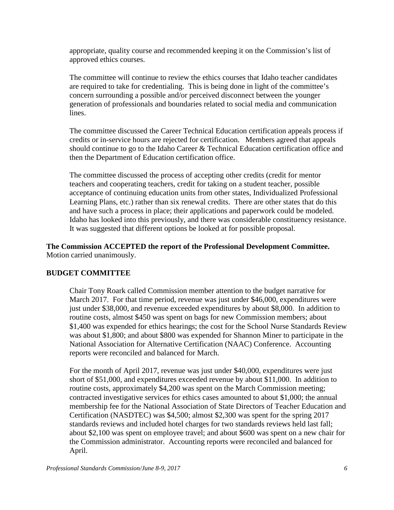appropriate, quality course and recommended keeping it on the Commission's list of approved ethics courses.

The committee will continue to review the ethics courses that Idaho teacher candidates are required to take for credentialing. This is being done in light of the committee's concern surrounding a possible and/or perceived disconnect between the younger generation of professionals and boundaries related to social media and communication lines.

The committee discussed the Career Technical Education certification appeals process if credits or in-service hours are rejected for certification. Members agreed that appeals should continue to go to the Idaho Career & Technical Education certification office and then the Department of Education certification office.

The committee discussed the process of accepting other credits (credit for mentor teachers and cooperating teachers, credit for taking on a student teacher, possible acceptance of continuing education units from other states, Individualized Professional Learning Plans, etc.) rather than six renewal credits. There are other states that do this and have such a process in place; their applications and paperwork could be modeled. Idaho has looked into this previously, and there was considerable constituency resistance. It was suggested that different options be looked at for possible proposal.

**The Commission ACCEPTED the report of the Professional Development Committee.**  Motion carried unanimously.

## **BUDGET COMMITTEE**

Chair Tony Roark called Commission member attention to the budget narrative for March 2017. For that time period, revenue was just under \$46,000, expenditures were just under \$38,000, and revenue exceeded expenditures by about \$8,000. In addition to routine costs, almost \$450 was spent on bags for new Commission members; about \$1,400 was expended for ethics hearings; the cost for the School Nurse Standards Review was about \$1,800; and about \$800 was expended for Shannon Miner to participate in the National Association for Alternative Certification (NAAC) Conference. Accounting reports were reconciled and balanced for March.

For the month of April 2017, revenue was just under \$40,000, expenditures were just short of \$51,000, and expenditures exceeded revenue by about \$11,000. In addition to routine costs, approximately \$4,200 was spent on the March Commission meeting; contracted investigative services for ethics cases amounted to about \$1,000; the annual membership fee for the National Association of State Directors of Teacher Education and Certification (NASDTEC) was \$4,500; almost \$2,300 was spent for the spring 2017 standards reviews and included hotel charges for two standards reviews held last fall; about \$2,100 was spent on employee travel; and about \$600 was spent on a new chair for the Commission administrator. Accounting reports were reconciled and balanced for April.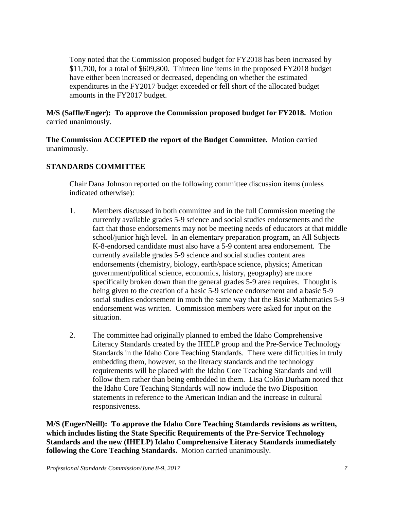Tony noted that the Commission proposed budget for FY2018 has been increased by \$11,700, for a total of \$609,800. Thirteen line items in the proposed FY2018 budget have either been increased or decreased, depending on whether the estimated expenditures in the FY2017 budget exceeded or fell short of the allocated budget amounts in the FY2017 budget.

**M/S (Saffle/Enger): To approve the Commission proposed budget for FY2018.** Motion carried unanimously.

**The Commission ACCEPTED the report of the Budget Committee.** Motion carried unanimously.

# **STANDARDS COMMITTEE**

Chair Dana Johnson reported on the following committee discussion items (unless indicated otherwise):

- 1. Members discussed in both committee and in the full Commission meeting the currently available grades 5-9 science and social studies endorsements and the fact that those endorsements may not be meeting needs of educators at that middle school/junior high level. In an elementary preparation program, an All Subjects K-8-endorsed candidate must also have a 5-9 content area endorsement. The currently available grades 5-9 science and social studies content area endorsements (chemistry, biology, earth/space science, physics; American government/political science, economics, history, geography) are more specifically broken down than the general grades 5-9 area requires. Thought is being given to the creation of a basic 5-9 science endorsement and a basic 5-9 social studies endorsement in much the same way that the Basic Mathematics 5-9 endorsement was written. Commission members were asked for input on the situation.
- 2. The committee had originally planned to embed the Idaho Comprehensive Literacy Standards created by the IHELP group and the Pre-Service Technology Standards in the Idaho Core Teaching Standards. There were difficulties in truly embedding them, however, so the literacy standards and the technology requirements will be placed with the Idaho Core Teaching Standards and will follow them rather than being embedded in them. Lisa Colón Durham noted that the Idaho Core Teaching Standards will now include the two Disposition statements in reference to the American Indian and the increase in cultural responsiveness.

**M/S (Enger/Neill): To approve the Idaho Core Teaching Standards revisions as written, which includes listing the State Specific Requirements of the Pre-Service Technology Standards and the new (IHELP) Idaho Comprehensive Literacy Standards immediately following the Core Teaching Standards.** Motion carried unanimously.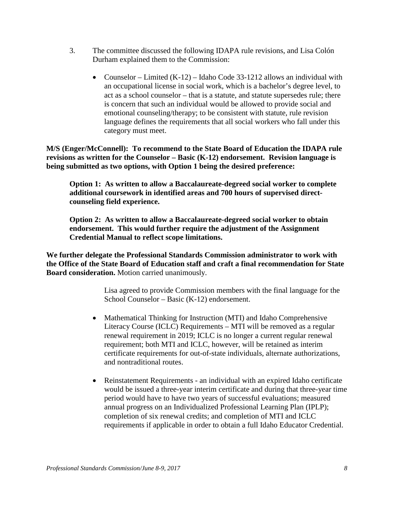- 3. The committee discussed the following IDAPA rule revisions, and Lisa Colón Durham explained them to the Commission:
	- Counselor Limited  $(K-12)$  Idaho Code 33-1212 allows an individual with an occupational license in social work, which is a bachelor's degree level, to act as a school counselor – that is a statute, and statute supersedes rule; there is concern that such an individual would be allowed to provide social and emotional counseling/therapy; to be consistent with statute, rule revision language defines the requirements that all social workers who fall under this category must meet.

**M/S (Enger/McConnell): To recommend to the State Board of Education the IDAPA rule revisions as written for the Counselor – Basic (K-12) endorsement. Revision language is being submitted as two options, with Option 1 being the desired preference:**

**Option 1: As written to allow a Baccalaureate-degreed social worker to complete additional coursework in identified areas and 700 hours of supervised directcounseling field experience.**

**Option 2: As written to allow a Baccalaureate-degreed social worker to obtain endorsement. This would further require the adjustment of the Assignment Credential Manual to reflect scope limitations.** 

**We further delegate the Professional Standards Commission administrator to work with the Office of the State Board of Education staff and craft a final recommendation for State Board consideration.** Motion carried unanimously.

> Lisa agreed to provide Commission members with the final language for the School Counselor – Basic (K-12) endorsement.

- Mathematical Thinking for Instruction (MTI) and Idaho Comprehensive Literacy Course (ICLC) Requirements – MTI will be removed as a regular renewal requirement in 2019; ICLC is no longer a current regular renewal requirement; both MTI and ICLC, however, will be retained as interim certificate requirements for out-of-state individuals, alternate authorizations, and nontraditional routes.
- Reinstatement Requirements an individual with an expired Idaho certificate would be issued a three-year interim certificate and during that three-year time period would have to have two years of successful evaluations; measured annual progress on an Individualized Professional Learning Plan (IPLP); completion of six renewal credits; and completion of MTI and ICLC requirements if applicable in order to obtain a full Idaho Educator Credential.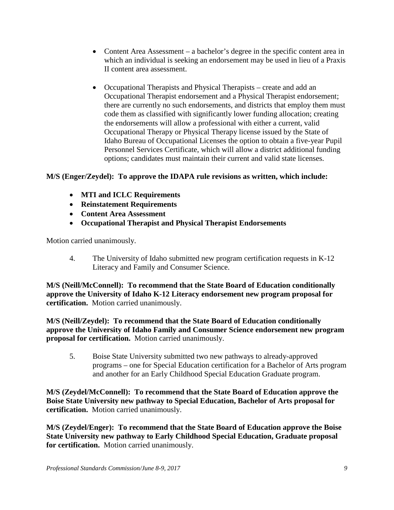- Content Area Assessment a bachelor's degree in the specific content area in which an individual is seeking an endorsement may be used in lieu of a Praxis II content area assessment.
- Occupational Therapists and Physical Therapists create and add an Occupational Therapist endorsement and a Physical Therapist endorsement; there are currently no such endorsements, and districts that employ them must code them as classified with significantly lower funding allocation; creating the endorsements will allow a professional with either a current, valid Occupational Therapy or Physical Therapy license issued by the State of Idaho Bureau of Occupational Licenses the option to obtain a five-year Pupil Personnel Services Certificate, which will allow a district additional funding options; candidates must maintain their current and valid state licenses.

# **M/S (Enger/Zeydel): To approve the IDAPA rule revisions as written, which include:**

- **MTI and ICLC Requirements**
- **Reinstatement Requirements**
- **Content Area Assessment**
- **Occupational Therapist and Physical Therapist Endorsements**

Motion carried unanimously.

4. The University of Idaho submitted new program certification requests in K-12 Literacy and Family and Consumer Science.

**M/S (Neill/McConnell): To recommend that the State Board of Education conditionally approve the University of Idaho K-12 Literacy endorsement new program proposal for certification.** Motion carried unanimously.

**M/S (Neill/Zeydel): To recommend that the State Board of Education conditionally approve the University of Idaho Family and Consumer Science endorsement new program proposal for certification.** Motion carried unanimously.

5. Boise State University submitted two new pathways to already-approved programs – one for Special Education certification for a Bachelor of Arts program and another for an Early Childhood Special Education Graduate program.

**M/S (Zeydel/McConnell): To recommend that the State Board of Education approve the Boise State University new pathway to Special Education, Bachelor of Arts proposal for certification.** Motion carried unanimously.

**M/S (Zeydel/Enger): To recommend that the State Board of Education approve the Boise State University new pathway to Early Childhood Special Education, Graduate proposal for certification.** Motion carried unanimously.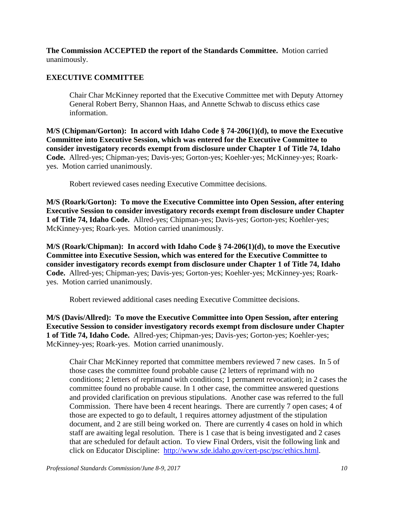**The Commission ACCEPTED the report of the Standards Committee.** Motion carried unanimously.

## **EXECUTIVE COMMITTEE**

Chair Char McKinney reported that the Executive Committee met with Deputy Attorney General Robert Berry, Shannon Haas, and Annette Schwab to discuss ethics case information.

**M/S (Chipman/Gorton): In accord with Idaho Code § 74-206(1)(d), to move the Executive Committee into Executive Session, which was entered for the Executive Committee to consider investigatory records exempt from disclosure under Chapter 1 of Title 74, Idaho Code.** Allred-yes; Chipman-yes; Davis-yes; Gorton-yes; Koehler-yes; McKinney-yes; Roarkyes. Motion carried unanimously.

Robert reviewed cases needing Executive Committee decisions.

**M/S (Roark/Gorton): To move the Executive Committee into Open Session, after entering Executive Session to consider investigatory records exempt from disclosure under Chapter 1 of Title 74, Idaho Code.** Allred-yes; Chipman-yes; Davis-yes; Gorton-yes; Koehler-yes; McKinney-yes; Roark-yes. Motion carried unanimously.

**M/S (Roark/Chipman): In accord with Idaho Code § 74-206(1)(d), to move the Executive Committee into Executive Session, which was entered for the Executive Committee to consider investigatory records exempt from disclosure under Chapter 1 of Title 74, Idaho Code.** Allred-yes; Chipman-yes; Davis-yes; Gorton-yes; Koehler-yes; McKinney-yes; Roarkyes. Motion carried unanimously.

Robert reviewed additional cases needing Executive Committee decisions.

**M/S (Davis/Allred): To move the Executive Committee into Open Session, after entering Executive Session to consider investigatory records exempt from disclosure under Chapter 1 of Title 74, Idaho Code.** Allred-yes; Chipman-yes; Davis-yes; Gorton-yes; Koehler-yes; McKinney-yes; Roark-yes. Motion carried unanimously.

Chair Char McKinney reported that committee members reviewed 7 new cases. In 5 of those cases the committee found probable cause (2 letters of reprimand with no conditions; 2 letters of reprimand with conditions; 1 permanent revocation); in 2 cases the committee found no probable cause. In 1 other case, the committee answered questions and provided clarification on previous stipulations. Another case was referred to the full Commission. There have been 4 recent hearings. There are currently 7 open cases; 4 of those are expected to go to default, 1 requires attorney adjustment of the stipulation document, and 2 are still being worked on. There are currently 4 cases on hold in which staff are awaiting legal resolution. There is 1 case that is being investigated and 2 cases that are scheduled for default action. To view Final Orders, visit the following link and click on Educator Discipline: [http://www.sde.idaho.gov/cert-psc/psc/ethics.html.](http://www.sde.idaho.gov/cert-psc/psc/ethics.html)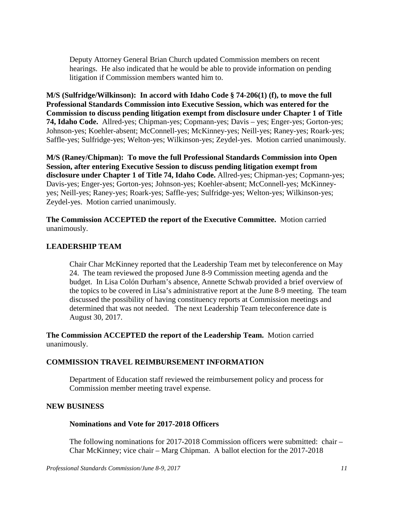Deputy Attorney General Brian Church updated Commission members on recent hearings. He also indicated that he would be able to provide information on pending litigation if Commission members wanted him to.

**M/S (Sulfridge/Wilkinson): In accord with Idaho Code § 74-206(1) (f), to move the full Professional Standards Commission into Executive Session, which was entered for the Commission to discuss pending litigation exempt from disclosure under Chapter 1 of Title 74, Idaho Code.** Allred-yes; Chipman-yes; Copmann-yes; Davis – yes; Enger-yes; Gorton-yes; Johnson-yes; Koehler-absent; McConnell-yes; McKinney-yes; Neill-yes; Raney-yes; Roark-yes; Saffle-yes; Sulfridge-yes; Welton-yes; Wilkinson-yes; Zeydel-yes. Motion carried unanimously.

**M/S (Raney/Chipman): To move the full Professional Standards Commission into Open Session, after entering Executive Session to discuss pending litigation exempt from disclosure under Chapter 1 of Title 74, Idaho Code.** Allred-yes; Chipman-yes; Copmann-yes; Davis-yes; Enger-yes; Gorton-yes; Johnson-yes; Koehler-absent; McConnell-yes; McKinneyyes; Neill-yes; Raney-yes; Roark-yes; Saffle-yes; Sulfridge-yes; Welton-yes; Wilkinson-yes; Zeydel-yes. Motion carried unanimously.

**The Commission ACCEPTED the report of the Executive Committee.** Motion carried unanimously.

### **LEADERSHIP TEAM**

Chair Char McKinney reported that the Leadership Team met by teleconference on May 24. The team reviewed the proposed June 8-9 Commission meeting agenda and the budget. In Lisa Colón Durham's absence, Annette Schwab provided a brief overview of the topics to be covered in Lisa's administrative report at the June 8-9 meeting. The team discussed the possibility of having constituency reports at Commission meetings and determined that was not needed. The next Leadership Team teleconference date is August 30, 2017.

**The Commission ACCEPTED the report of the Leadership Team.** Motion carried unanimously.

#### **COMMISSION TRAVEL REIMBURSEMENT INFORMATION**

Department of Education staff reviewed the reimbursement policy and process for Commission member meeting travel expense.

#### **NEW BUSINESS**

#### **Nominations and Vote for 2017-2018 Officers**

The following nominations for 2017-2018 Commission officers were submitted: chair – Char McKinney; vice chair – Marg Chipman. A ballot election for the 2017-2018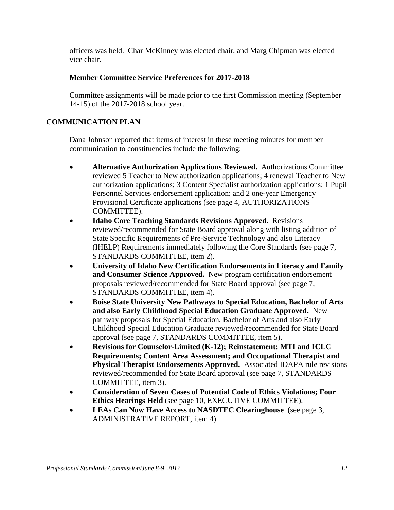officers was held. Char McKinney was elected chair, and Marg Chipman was elected vice chair.

# **Member Committee Service Preferences for 2017-2018**

Committee assignments will be made prior to the first Commission meeting (September 14-15) of the 2017-2018 school year.

# **COMMUNICATION PLAN**

Dana Johnson reported that items of interest in these meeting minutes for member communication to constituencies include the following:

- **Alternative Authorization Applications Reviewed.** Authorizations Committee reviewed 5 Teacher to New authorization applications; 4 renewal Teacher to New authorization applications; 3 Content Specialist authorization applications; 1 Pupil Personnel Services endorsement application; and 2 one-year Emergency Provisional Certificate applications (see page 4, AUTHORIZATIONS COMMITTEE).
- **Idaho Core Teaching Standards Revisions Approved.** Revisions reviewed/recommended for State Board approval along with listing addition of State Specific Requirements of Pre-Service Technology and also Literacy (IHELP) Requirements immediately following the Core Standards (see page 7, STANDARDS COMMITTEE, item 2).
- **University of Idaho New Certification Endorsements in Literacy and Family and Consumer Science Approved.** New program certification endorsement proposals reviewed/recommended for State Board approval (see page 7, STANDARDS COMMITTEE, item 4).
- **Boise State University New Pathways to Special Education, Bachelor of Arts and also Early Childhood Special Education Graduate Approved.** New pathway proposals for Special Education, Bachelor of Arts and also Early Childhood Special Education Graduate reviewed/recommended for State Board approval (see page 7, STANDARDS COMMITTEE, item 5).
- **Revisions for Counselor-Limited (K-12); Reinstatement; MTI and ICLC Requirements; Content Area Assessment; and Occupational Therapist and Physical Therapist Endorsements Approved.** Associated IDAPA rule revisions reviewed/recommended for State Board approval (see page 7, STANDARDS COMMITTEE, item 3).
- **Consideration of Seven Cases of Potential Code of Ethics Violations; Four Ethics Hearings Held** (see page 10, EXECUTIVE COMMITTEE).
- **LEAs Can Now Have Access to NASDTEC Clearinghouse** (see page 3, ADMINISTRATIVE REPORT, item 4).